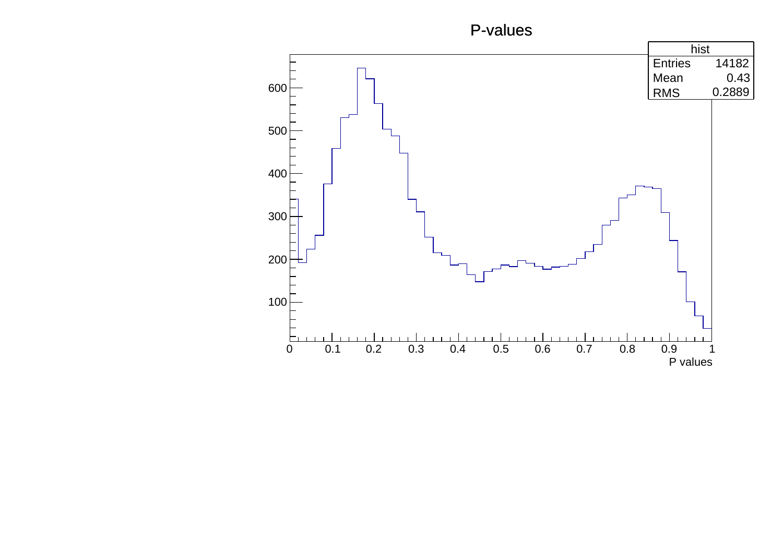## P-values

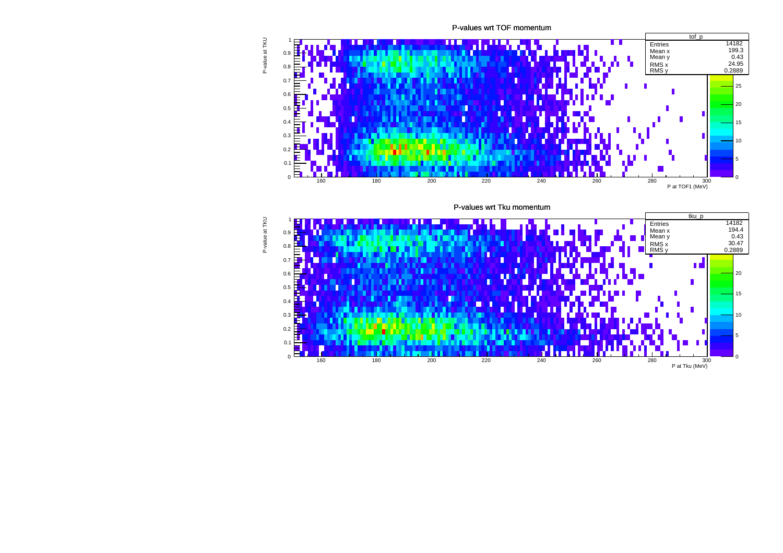P-values wrt TOF momentum



P-values wrt Tku momentum

![](_page_1_Figure_3.jpeg)

P-value at TKU P-value at TKU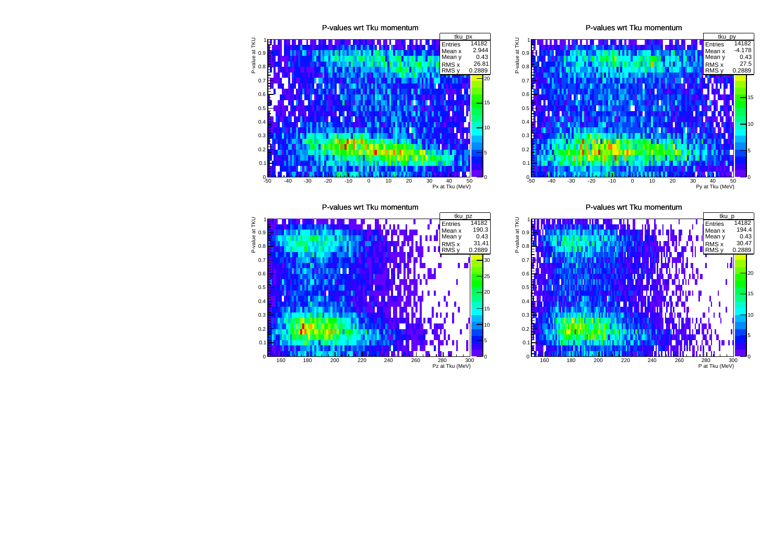![](_page_2_Figure_0.jpeg)

P-values wrt Tku momentum

![](_page_2_Figure_2.jpeg)

P-values wrt Tku momentum

![](_page_2_Figure_4.jpeg)

P-values wrt Tku momentum

![](_page_2_Figure_6.jpeg)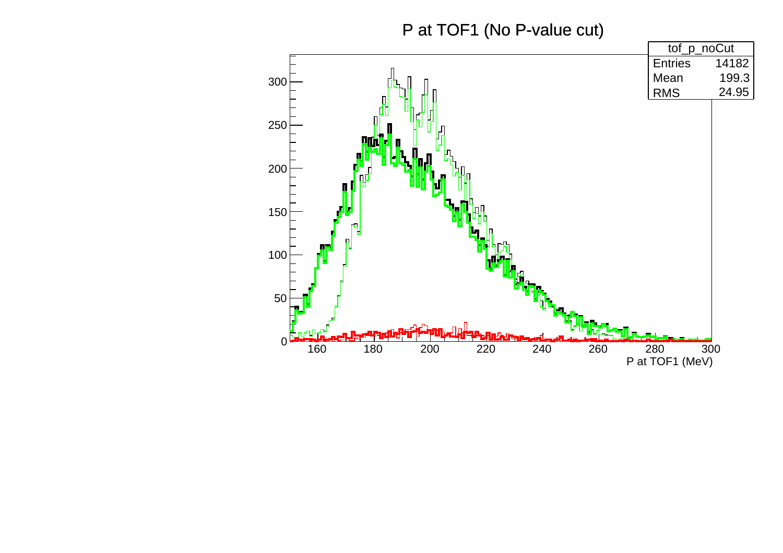## P at TOF1 (No P-value cut)

![](_page_3_Figure_1.jpeg)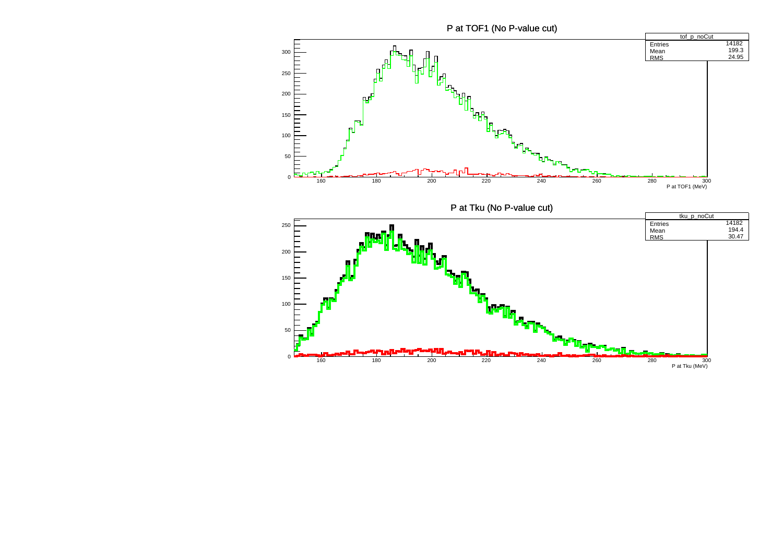P at TOF1 (No P-value cut)

![](_page_4_Figure_1.jpeg)

![](_page_4_Figure_2.jpeg)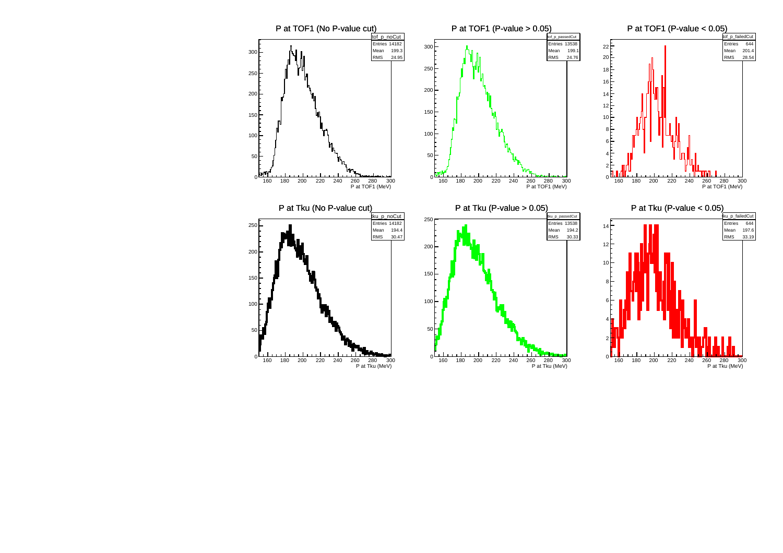![](_page_5_Figure_0.jpeg)